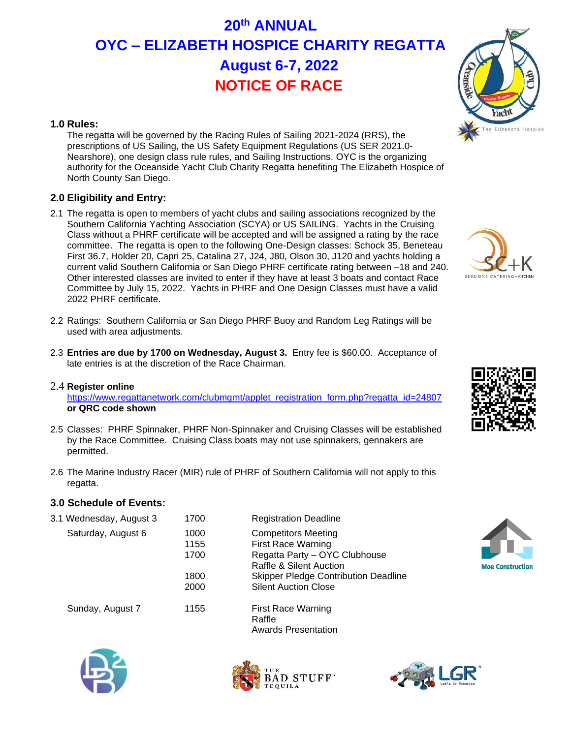# **20th ANNUAL OYC – ELIZABETH HOSPICE CHARITY REGATTA August 6-7, 2022 NOTICE OF RACE**

### **1.0 Rules:**

The regatta will be governed by the Racing Rules of Sailing 2021-2024 (RRS), the prescriptions of US Sailing, the US Safety Equipment Regulations (US SER 2021.0- Nearshore), one design class rule rules, and Sailing Instructions. OYC is the organizing authority for the Oceanside Yacht Club Charity Regatta benefiting The Elizabeth Hospice of North County San Diego.

## **2.0 Eligibility and Entry:**

- 2.1 The regatta is open to members of yacht clubs and sailing associations recognized by the Southern California Yachting Association (SCYA) or US SAILING. Yachts in the Cruising Class without a PHRF certificate will be accepted and will be assigned a rating by the race committee. The regatta is open to the following One-Design classes: Schock 35, Beneteau First 36.7, Holder 20, Capri 25, Catalina 27, J24, J80, Olson 30, J120 and yachts holding a current valid Southern California or San Diego PHRF certificate rating between –18 and 240. Other interested classes are invited to enter if they have at least 3 boats and contact Race Committee by July 15, 2022. Yachts in PHRF and One Design Classes must have a valid 2022 PHRF certificate.
- 2.2 Ratings: Southern California or San Diego PHRF Buoy and Random Leg Ratings will be used with area adjustments.
- 2.3 **Entries are due by 1700 on Wednesday, August 3.** Entry fee is \$60.00. Acceptance of late entries is at the discretion of the Race Chairman.

#### 2.4 **Register online** [https://www.regattanetwork.com/clubmgmt/applet\\_registration\\_form.php?regatta\\_id=24807](https://www.regattanetwork.com/clubmgmt/applet_registration_form.php?regatta_id=24807) **or QRC code shown**

- 2.5 Classes: PHRF Spinnaker, PHRF Non-Spinnaker and Cruising Classes will be established by the Race Committee. Cruising Class boats may not use spinnakers, gennakers are permitted.
- 2.6 The Marine Industry Racer (MIR) rule of PHRF of Southern California will not apply to this regatta.

1700 Registration Deadline

## **3.0 Schedule of Events:**

|  | 3.1 Wednesday, August 3 |  |  |
|--|-------------------------|--|--|
|--|-------------------------|--|--|

| Saturday, August 6 | 1000 | <b>Competitors Meeting</b>                  |
|--------------------|------|---------------------------------------------|
|                    | 1155 | <b>First Race Warning</b>                   |
|                    | 1700 | Regatta Party - OYC Clubhouse               |
|                    |      | <b>Raffle &amp; Silent Auction</b>          |
|                    | 1800 | <b>Skipper Pledge Contribution Deadline</b> |
|                    | 2000 | <b>Silent Auction Close</b>                 |
|                    | 1155 |                                             |
| Sunday, August 7   |      | <b>First Race Warning</b>                   |